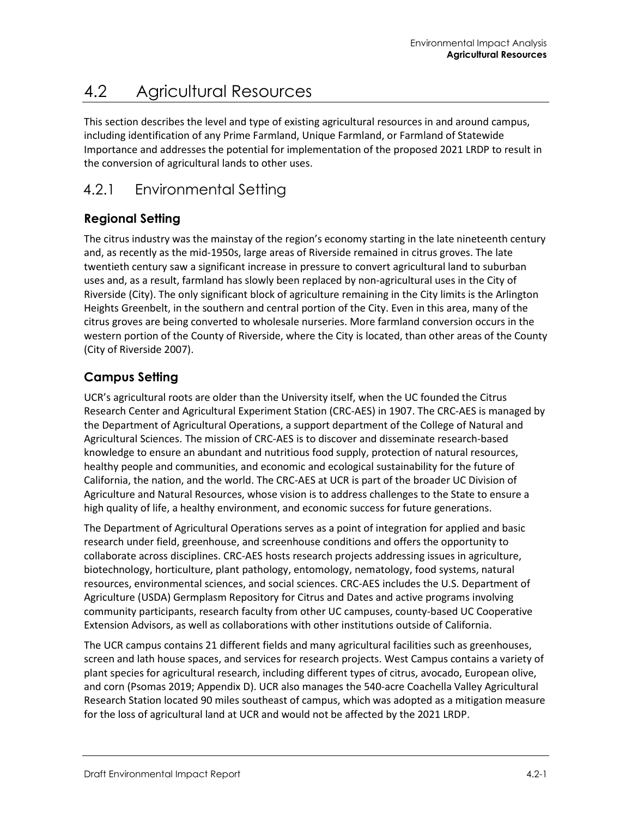# 4.2 Agricultural Resources

This section describes the level and type of existing agricultural resources in and around campus, including identification of any Prime Farmland, Unique Farmland, or Farmland of Statewide Importance and addresses the potential for implementation of the proposed 2021 LRDP to result in the conversion of agricultural lands to other uses.

# 4.2.1 Environmental Setting

## **Regional Setting**

The citrus industry was the mainstay of the region's economy starting in the late nineteenth century and, as recently as the mid-1950s, large areas of Riverside remained in citrus groves. The late twentieth century saw a significant increase in pressure to convert agricultural land to suburban uses and, as a result, farmland has slowly been replaced by non-agricultural uses in the City of Riverside (City). The only significant block of agriculture remaining in the City limits is the Arlington Heights Greenbelt, in the southern and central portion of the City. Even in this area, many of the citrus groves are being converted to wholesale nurseries. More farmland conversion occurs in the western portion of the County of Riverside, where the City is located, than other areas of the County (City of Riverside 2007).

## **Campus Setting**

UCR's agricultural roots are older than the University itself, when the UC founded the Citrus Research Center and Agricultural Experiment Station (CRC-AES) in 1907. The CRC-AES is managed by the Department of Agricultural Operations, a support department of the College of Natural and Agricultural Sciences. The mission of CRC-AES is to discover and disseminate research-based knowledge to ensure an abundant and nutritious food supply, protection of natural resources, healthy people and communities, and economic and ecological sustainability for the future of California, the nation, and the world. The CRC-AES at UCR is part of the broader UC Division of Agriculture and Natural Resources, whose vision is to address challenges to the State to ensure a high quality of life, a healthy environment, and economic success for future generations.

The Department of Agricultural Operations serves as a point of integration for applied and basic research under field, greenhouse, and screenhouse conditions and offers the opportunity to collaborate across disciplines. CRC-AES hosts research projects addressing issues in agriculture, biotechnology, horticulture, plant pathology, entomology, nematology, food systems, natural resources, environmental sciences, and social sciences. CRC-AES includes the U.S. Department of Agriculture (USDA) Germplasm Repository for Citrus and Dates and active programs involving community participants, research faculty from other UC campuses, county-based UC Cooperative Extension Advisors, as well as collaborations with other institutions outside of California.

The UCR campus contains 21 different fields and many agricultural facilities such as greenhouses, screen and lath house spaces, and services for research projects. West Campus contains a variety of plant species for agricultural research, including different types of citrus, avocado, European olive, and corn (Psomas 2019; Appendix D). UCR also manages the 540-acre Coachella Valley Agricultural Research Station located 90 miles southeast of campus, which was adopted as a mitigation measure for the loss of agricultural land at UCR and would not be affected by the 2021 LRDP.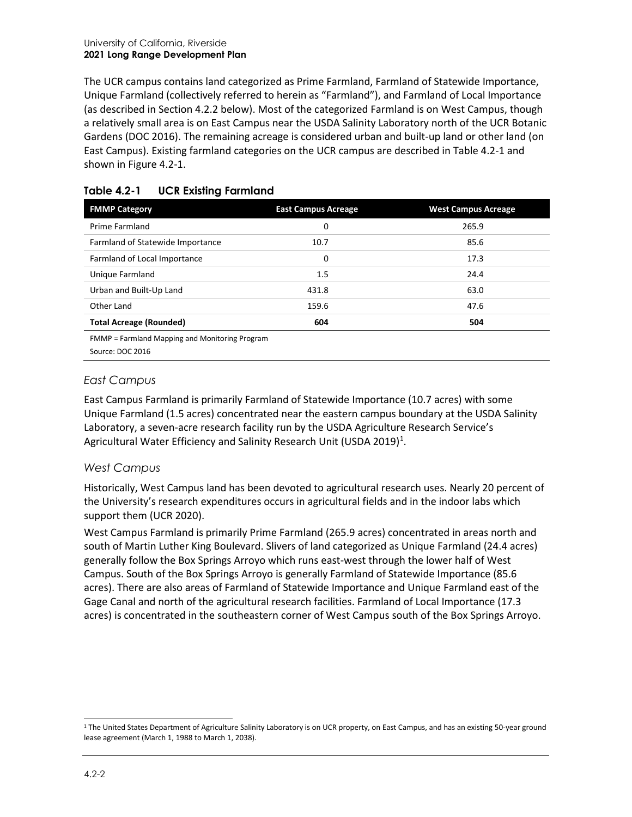The UCR campus contains land categorized as Prime Farmland, Farmland of Statewide Importance, Unique Farmland (collectively referred to herein as "Farmland"), and Farmland of Local Importance (as described in Section 4.2.2 below). Most of the categorized Farmland is on West Campus, though a relatively small area is on East Campus near the USDA Salinity Laboratory north of the UCR Botanic Gardens (DOC 2016). The remaining acreage is considered urban and built-up land or other land (on East Campus). Existing farmland categories on the UCR campus are described in [Table 4.2-1](#page-1-0) and shown in [Figure 4.2-1.](#page-2-0)

| <b>FMMP Category</b>                                   | <b>East Campus Acreage</b> | <b>West Campus Acreage</b> |
|--------------------------------------------------------|----------------------------|----------------------------|
| Prime Farmland                                         | 0                          | 265.9                      |
| Farmland of Statewide Importance                       | 10.7                       | 85.6                       |
| Farmland of Local Importance                           | 0                          | 17.3                       |
| Unique Farmland                                        | 1.5                        | 24.4                       |
| Urban and Built-Up Land                                | 431.8                      | 63.0                       |
| Other Land                                             | 159.6                      | 47.6                       |
| <b>Total Acreage (Rounded)</b>                         | 604                        | 504                        |
| ERARAD Foundated Manufacture and Manifesting Dragoness |                            |                            |

#### <span id="page-1-0"></span>**Table 4.2-1 UCR Existing Farmland**

FMMP = Farmland Mapping and Monitoring Program Source: DOC 2016

### *East Campus*

East Campus Farmland is primarily Farmland of Statewide Importance (10.7 acres) with some Unique Farmland (1.5 acres) concentrated near the eastern campus boundary at the USDA Salinity Laboratory, a seven-acre research facility run by the USDA Agriculture Research Service's Agricultural Water Efficiency and Salinity Research Unit (USDA 20[1](#page-1-1)9)<sup>1</sup>.

#### *West Campus*

Historically, West Campus land has been devoted to agricultural research uses. Nearly 20 percent of the University's research expenditures occurs in agricultural fields and in the indoor labs which support them (UCR 2020).

West Campus Farmland is primarily Prime Farmland (265.9 acres) concentrated in areas north and south of Martin Luther King Boulevard. Slivers of land categorized as Unique Farmland (24.4 acres) generally follow the Box Springs Arroyo which runs east-west through the lower half of West Campus. South of the Box Springs Arroyo is generally Farmland of Statewide Importance (85.6 acres). There are also areas of Farmland of Statewide Importance and Unique Farmland east of the Gage Canal and north of the agricultural research facilities. Farmland of Local Importance (17.3 acres) is concentrated in the southeastern corner of West Campus south of the Box Springs Arroyo.

<span id="page-1-1"></span><sup>&</sup>lt;sup>1</sup> The United States Department of Agriculture Salinity Laboratory is on UCR property, on East Campus, and has an existing 50-year ground lease agreement (March 1, 1988 to March 1, 2038).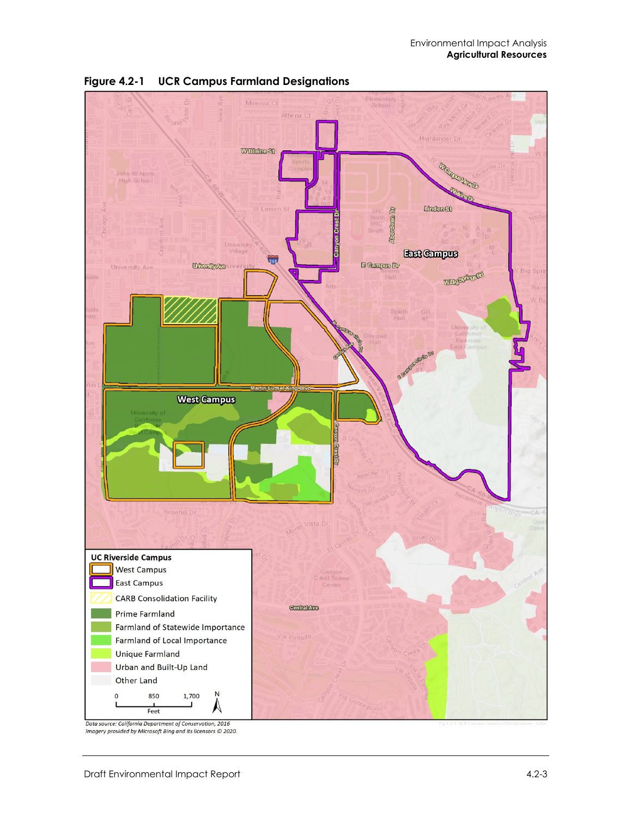

<span id="page-2-0"></span>

Data source: California Department of Conservation, 2016<br>Imagery provided by Microsoft Bing and its licensors © 2020.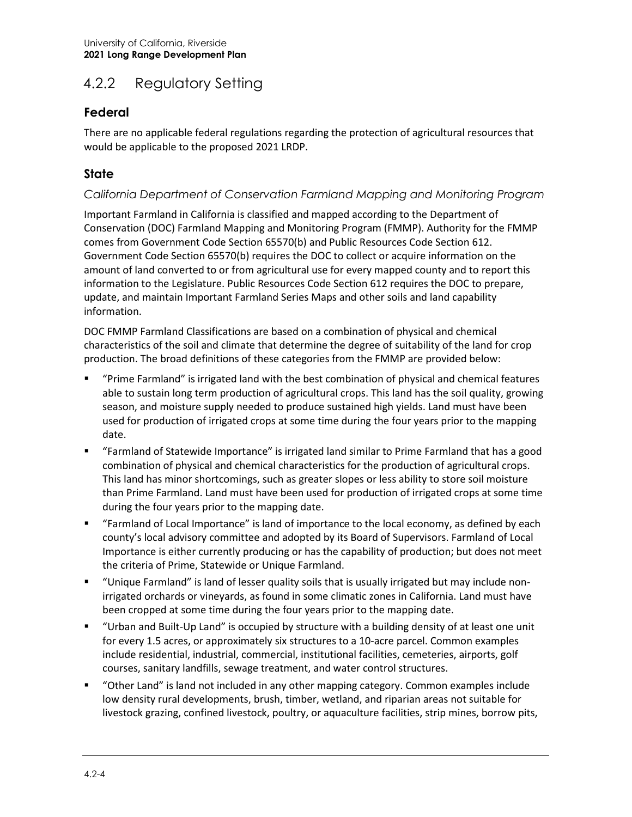# 4.2.2 Regulatory Setting

## **Federal**

There are no applicable federal regulations regarding the protection of agricultural resources that would be applicable to the proposed 2021 LRDP.

## **State**

#### *California Department of Conservation Farmland Mapping and Monitoring Program*

Important Farmland in California is classified and mapped according to the Department of Conservation (DOC) Farmland Mapping and Monitoring Program (FMMP). Authority for the FMMP comes from Government Code Section 65570(b) and Public Resources Code Section 612. Government Code Section 65570(b) requires the DOC to collect or acquire information on the amount of land converted to or from agricultural use for every mapped county and to report this information to the Legislature. Public Resources Code Section 612 requires the DOC to prepare, update, and maintain Important Farmland Series Maps and other soils and land capability information.

DOC FMMP Farmland Classifications are based on a combination of physical and chemical characteristics of the soil and climate that determine the degree of suitability of the land for crop production. The broad definitions of these categories from the FMMP are provided below:

- "Prime Farmland" is irrigated land with the best combination of physical and chemical features able to sustain long term production of agricultural crops. This land has the soil quality, growing season, and moisture supply needed to produce sustained high yields. Land must have been used for production of irrigated crops at some time during the four years prior to the mapping date.
- "Farmland of Statewide Importance" is irrigated land similar to Prime Farmland that has a good combination of physical and chemical characteristics for the production of agricultural crops. This land has minor shortcomings, such as greater slopes or less ability to store soil moisture than Prime Farmland. Land must have been used for production of irrigated crops at some time during the four years prior to the mapping date.
- "Farmland of Local Importance" is land of importance to the local economy, as defined by each county's local advisory committee and adopted by its Board of Supervisors. Farmland of Local Importance is either currently producing or has the capability of production; but does not meet the criteria of Prime, Statewide or Unique Farmland.
- "Unique Farmland" is land of lesser quality soils that is usually irrigated but may include nonirrigated orchards or vineyards, as found in some climatic zones in California. Land must have been cropped at some time during the four years prior to the mapping date.
- "Urban and Built-Up Land" is occupied by structure with a building density of at least one unit for every 1.5 acres, or approximately six structures to a 10-acre parcel. Common examples include residential, industrial, commercial, institutional facilities, cemeteries, airports, golf courses, sanitary landfills, sewage treatment, and water control structures.
- "Other Land" is land not included in any other mapping category. Common examples include low density rural developments, brush, timber, wetland, and riparian areas not suitable for livestock grazing, confined livestock, poultry, or aquaculture facilities, strip mines, borrow pits,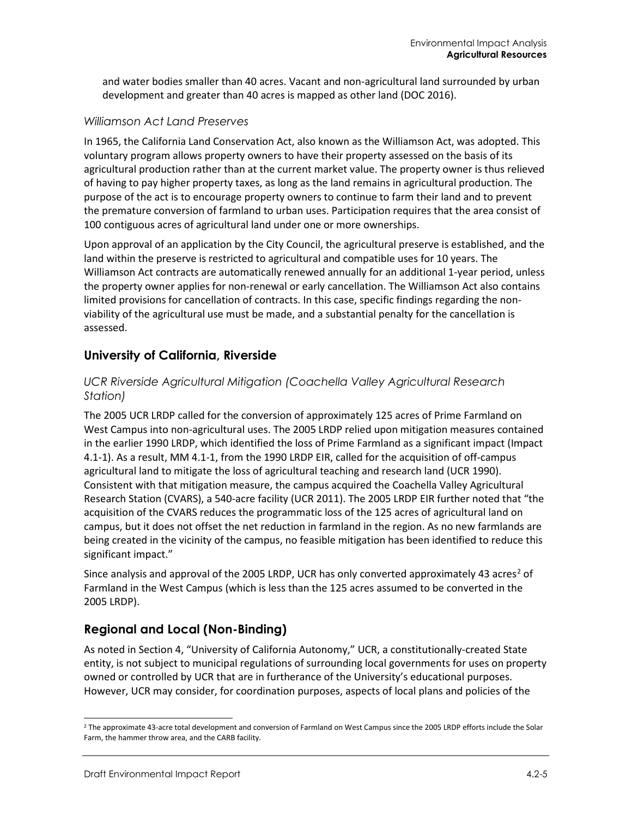and water bodies smaller than 40 acres. Vacant and non-agricultural land surrounded by urban development and greater than 40 acres is mapped as other land (DOC 2016).

#### *Williamson Act Land Preserves*

In 1965, the California Land Conservation Act, also known as the Williamson Act, was adopted. This voluntary program allows property owners to have their property assessed on the basis of its agricultural production rather than at the current market value. The property owner is thus relieved of having to pay higher property taxes, as long as the land remains in agricultural production. The purpose of the act is to encourage property owners to continue to farm their land and to prevent the premature conversion of farmland to urban uses. Participation requires that the area consist of 100 contiguous acres of agricultural land under one or more ownerships.

Upon approval of an application by the City Council, the agricultural preserve is established, and the land within the preserve is restricted to agricultural and compatible uses for 10 years. The Williamson Act contracts are automatically renewed annually for an additional 1-year period, unless the property owner applies for non-renewal or early cancellation. The Williamson Act also contains limited provisions for cancellation of contracts. In this case, specific findings regarding the nonviability of the agricultural use must be made, and a substantial penalty for the cancellation is assessed.

#### **University of California, Riverside**

#### *UCR Riverside Agricultural Mitigation (Coachella Valley Agricultural Research Station)*

The 2005 UCR LRDP called for the conversion of approximately 125 acres of Prime Farmland on West Campus into non-agricultural uses. The 2005 LRDP relied upon mitigation measures contained in the earlier 1990 LRDP, which identified the loss of Prime Farmland as a significant impact (Impact 4.1-1). As a result, MM 4.1-1, from the 1990 LRDP EIR, called for the acquisition of off-campus agricultural land to mitigate the loss of agricultural teaching and research land (UCR 1990). Consistent with that mitigation measure, the campus acquired the Coachella Valley Agricultural Research Station (CVARS), a 540-acre facility (UCR 2011). The 2005 LRDP EIR further noted that "the acquisition of the CVARS reduces the programmatic loss of the 125 acres of agricultural land on campus, but it does not offset the net reduction in farmland in the region. As no new farmlands are being created in the vicinity of the campus, no feasible mitigation has been identified to reduce this significant impact."

Since analysis and approval of the [2](#page-4-0)005 LRDP, UCR has only converted approximately 43 acres<sup>2</sup> of Farmland in the West Campus (which is less than the 125 acres assumed to be converted in the 2005 LRDP).

## **Regional and Local (Non-Binding)**

As noted in Section 4, "University of California Autonomy," UCR, a constitutionally-created State entity, is not subject to municipal regulations of surrounding local governments for uses on property owned or controlled by UCR that are in furtherance of the University's educational purposes. However, UCR may consider, for coordination purposes, aspects of local plans and policies of the

<span id="page-4-0"></span><sup>&</sup>lt;sup>2</sup> The approximate 43-acre total development and conversion of Farmland on West Campus since the 2005 LRDP efforts include the Solar Farm, the hammer throw area, and the CARB facility.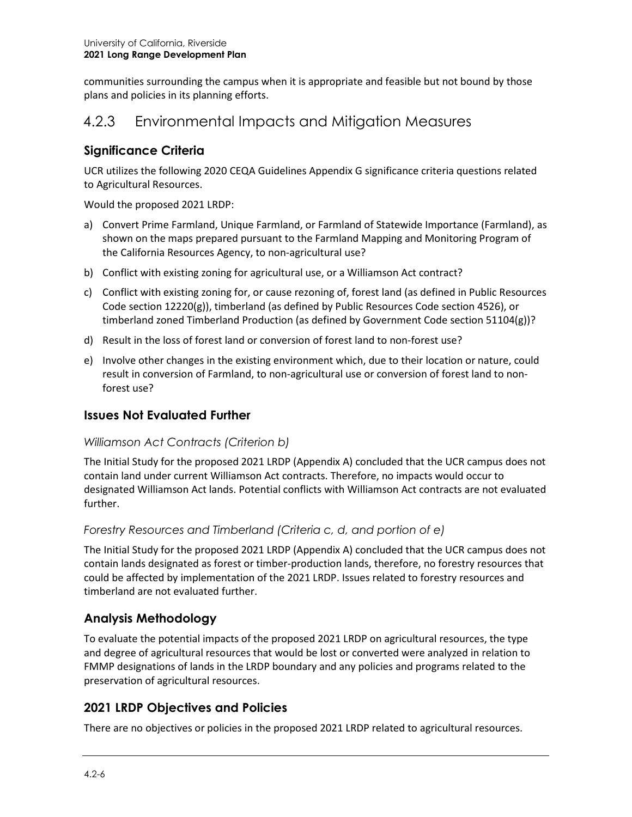communities surrounding the campus when it is appropriate and feasible but not bound by those plans and policies in its planning efforts.

## 4.2.3 Environmental Impacts and Mitigation Measures

### **Significance Criteria**

UCR utilizes the following 2020 CEQA Guidelines Appendix G significance criteria questions related to Agricultural Resources.

Would the proposed 2021 LRDP:

- a) Convert Prime Farmland, Unique Farmland, or Farmland of Statewide Importance (Farmland), as shown on the maps prepared pursuant to the Farmland Mapping and Monitoring Program of the California Resources Agency, to non-agricultural use?
- b) Conflict with existing zoning for agricultural use, or a Williamson Act contract?
- c) Conflict with existing zoning for, or cause rezoning of, forest land (as defined in Public Resources Code section 12220(g)), timberland (as defined by Public Resources Code section 4526), or timberland zoned Timberland Production (as defined by Government Code section 51104(g))?
- d) Result in the loss of forest land or conversion of forest land to non-forest use?
- e) Involve other changes in the existing environment which, due to their location or nature, could result in conversion of Farmland, to non-agricultural use or conversion of forest land to nonforest use?

#### **Issues Not Evaluated Further**

#### *Williamson Act Contracts (Criterion b)*

The Initial Study for the proposed 2021 LRDP (Appendix A) concluded that the UCR campus does not contain land under current Williamson Act contracts. Therefore, no impacts would occur to designated Williamson Act lands. Potential conflicts with Williamson Act contracts are not evaluated further.

#### *Forestry Resources and Timberland (Criteria c, d, and portion of e)*

The Initial Study for the proposed 2021 LRDP (Appendix A) concluded that the UCR campus does not contain lands designated as forest or timber-production lands, therefore, no forestry resources that could be affected by implementation of the 2021 LRDP. Issues related to forestry resources and timberland are not evaluated further.

## **Analysis Methodology**

To evaluate the potential impacts of the proposed 2021 LRDP on agricultural resources, the type and degree of agricultural resources that would be lost or converted were analyzed in relation to FMMP designations of lands in the LRDP boundary and any policies and programs related to the preservation of agricultural resources.

#### **2021 LRDP Objectives and Policies**

There are no objectives or policies in the proposed 2021 LRDP related to agricultural resources.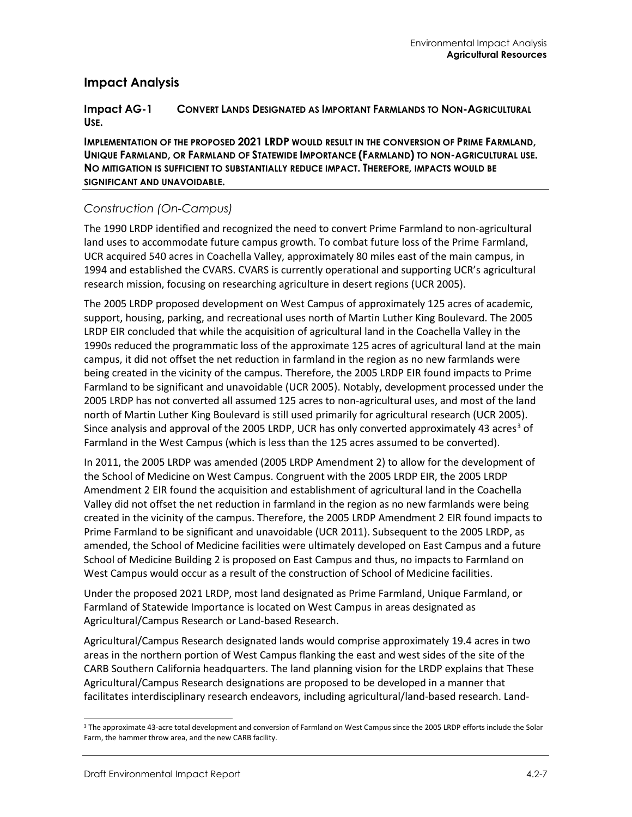#### **Impact Analysis**

#### **Impact AG-1 CONVERT LANDS DESIGNATED AS IMPORTANT FARMLANDS TO NON-AGRICULTURAL USE.**

**IMPLEMENTATION OF THE PROPOSED 2021 LRDP WOULD RESULT IN THE CONVERSION OF PRIME FARMLAND, UNIQUE FARMLAND, OR FARMLAND OF STATEWIDE IMPORTANCE (FARMLAND) TO NON-AGRICULTURAL USE. NO MITIGATION IS SUFFICIENT TO SUBSTANTIALLY REDUCE IMPACT. THEREFORE, IMPACTS WOULD BE SIGNIFICANT AND UNAVOIDABLE.**

#### *Construction (On-Campus)*

The 1990 LRDP identified and recognized the need to convert Prime Farmland to non-agricultural land uses to accommodate future campus growth. To combat future loss of the Prime Farmland, UCR acquired 540 acres in Coachella Valley, approximately 80 miles east of the main campus, in 1994 and established the CVARS. CVARS is currently operational and supporting UCR's agricultural research mission, focusing on researching agriculture in desert regions (UCR 2005).

The 2005 LRDP proposed development on West Campus of approximately 125 acres of academic, support, housing, parking, and recreational uses north of Martin Luther King Boulevard. The 2005 LRDP EIR concluded that while the acquisition of agricultural land in the Coachella Valley in the 1990s reduced the programmatic loss of the approximate 125 acres of agricultural land at the main campus, it did not offset the net reduction in farmland in the region as no new farmlands were being created in the vicinity of the campus. Therefore, the 2005 LRDP EIR found impacts to Prime Farmland to be significant and unavoidable (UCR 2005). Notably, development processed under the 2005 LRDP has not converted all assumed 125 acres to non-agricultural uses, and most of the land north of Martin Luther King Boulevard is still used primarily for agricultural research (UCR 2005). Since analysis and approval of the 2005 LRDP, UCR has only converted approximately 4[3](#page-6-0) acres<sup>3</sup> of Farmland in the West Campus (which is less than the 125 acres assumed to be converted).

In 2011, the 2005 LRDP was amended (2005 LRDP Amendment 2) to allow for the development of the School of Medicine on West Campus. Congruent with the 2005 LRDP EIR, the 2005 LRDP Amendment 2 EIR found the acquisition and establishment of agricultural land in the Coachella Valley did not offset the net reduction in farmland in the region as no new farmlands were being created in the vicinity of the campus. Therefore, the 2005 LRDP Amendment 2 EIR found impacts to Prime Farmland to be significant and unavoidable (UCR 2011). Subsequent to the 2005 LRDP, as amended, the School of Medicine facilities were ultimately developed on East Campus and a future School of Medicine Building 2 is proposed on East Campus and thus, no impacts to Farmland on West Campus would occur as a result of the construction of School of Medicine facilities.

Under the proposed 2021 LRDP, most land designated as Prime Farmland, Unique Farmland, or Farmland of Statewide Importance is located on West Campus in areas designated as Agricultural/Campus Research or Land-based Research.

Agricultural/Campus Research designated lands would comprise approximately 19.4 acres in two areas in the northern portion of West Campus flanking the east and west sides of the site of the CARB Southern California headquarters. The land planning vision for the LRDP explains that These Agricultural/Campus Research designations are proposed to be developed in a manner that facilitates interdisciplinary research endeavors, including agricultural/land-based research. Land-

<span id="page-6-0"></span><sup>&</sup>lt;sup>3</sup> The approximate 43-acre total development and conversion of Farmland on West Campus since the 2005 LRDP efforts include the Solar Farm, the hammer throw area, and the new CARB facility.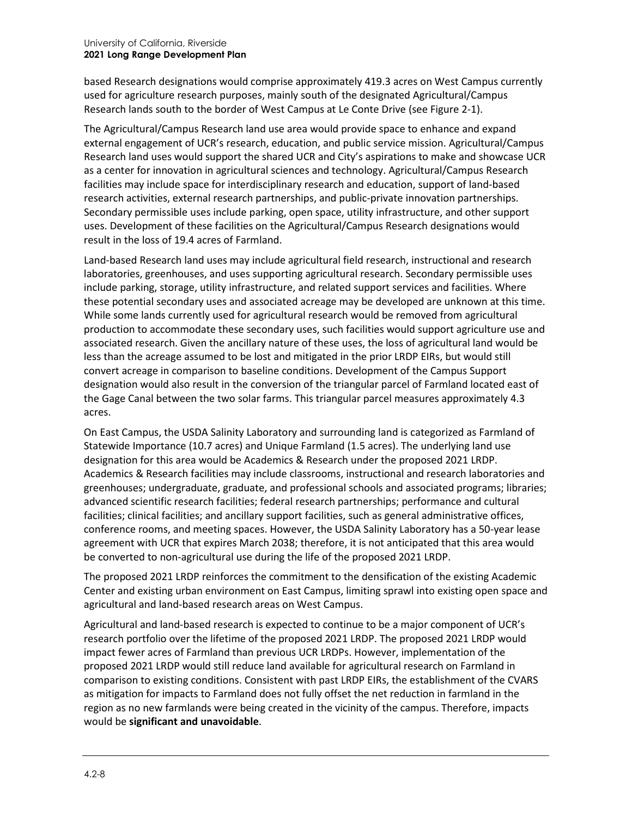based Research designations would comprise approximately 419.3 acres on West Campus currently used for agriculture research purposes, mainly south of the designated Agricultural/Campus Research lands south to the border of West Campus at Le Conte Drive (see Figure 2-1).

The Agricultural/Campus Research land use area would provide space to enhance and expand external engagement of UCR's research, education, and public service mission. Agricultural/Campus Research land uses would support the shared UCR and City's aspirations to make and showcase UCR as a center for innovation in agricultural sciences and technology. Agricultural/Campus Research facilities may include space for interdisciplinary research and education, support of land-based research activities, external research partnerships, and public-private innovation partnerships. Secondary permissible uses include parking, open space, utility infrastructure, and other support uses. Development of these facilities on the Agricultural/Campus Research designations would result in the loss of 19.4 acres of Farmland.

Land-based Research land uses may include agricultural field research, instructional and research laboratories, greenhouses, and uses supporting agricultural research. Secondary permissible uses include parking, storage, utility infrastructure, and related support services and facilities. Where these potential secondary uses and associated acreage may be developed are unknown at this time. While some lands currently used for agricultural research would be removed from agricultural production to accommodate these secondary uses, such facilities would support agriculture use and associated research. Given the ancillary nature of these uses, the loss of agricultural land would be less than the acreage assumed to be lost and mitigated in the prior LRDP EIRs, but would still convert acreage in comparison to baseline conditions. Development of the Campus Support designation would also result in the conversion of the triangular parcel of Farmland located east of the Gage Canal between the two solar farms. This triangular parcel measures approximately 4.3 acres.

On East Campus, the USDA Salinity Laboratory and surrounding land is categorized as Farmland of Statewide Importance (10.7 acres) and Unique Farmland (1.5 acres). The underlying land use designation for this area would be Academics & Research under the proposed 2021 LRDP. Academics & Research facilities may include classrooms, instructional and research laboratories and greenhouses; undergraduate, graduate, and professional schools and associated programs; libraries; advanced scientific research facilities; federal research partnerships; performance and cultural facilities; clinical facilities; and ancillary support facilities, such as general administrative offices, conference rooms, and meeting spaces. However, the USDA Salinity Laboratory has a 50-year lease agreement with UCR that expires March 2038; therefore, it is not anticipated that this area would be converted to non-agricultural use during the life of the proposed 2021 LRDP.

The proposed 2021 LRDP reinforces the commitment to the densification of the existing Academic Center and existing urban environment on East Campus, limiting sprawl into existing open space and agricultural and land-based research areas on West Campus.

Agricultural and land-based research is expected to continue to be a major component of UCR's research portfolio over the lifetime of the proposed 2021 LRDP. The proposed 2021 LRDP would impact fewer acres of Farmland than previous UCR LRDPs. However, implementation of the proposed 2021 LRDP would still reduce land available for agricultural research on Farmland in comparison to existing conditions. Consistent with past LRDP EIRs, the establishment of the CVARS as mitigation for impacts to Farmland does not fully offset the net reduction in farmland in the region as no new farmlands were being created in the vicinity of the campus. Therefore, impacts would be **significant and unavoidable**.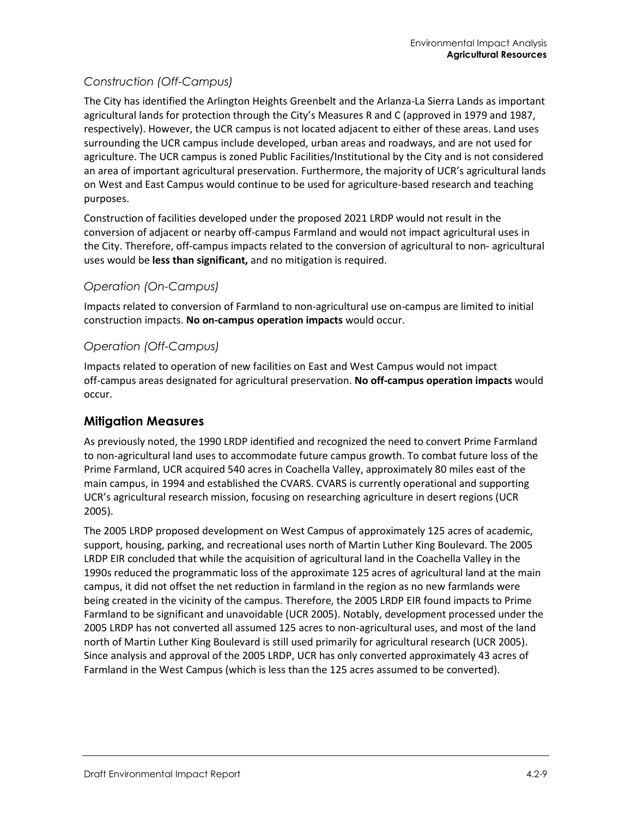#### *Construction (Off-Campus)*

The City has identified the Arlington Heights Greenbelt and the Arlanza-La Sierra Lands as important agricultural lands for protection through the City's Measures R and C (approved in 1979 and 1987, respectively). However, the UCR campus is not located adjacent to either of these areas. Land uses surrounding the UCR campus include developed, urban areas and roadways, and are not used for agriculture. The UCR campus is zoned Public Facilities/Institutional by the City and is not considered an area of important agricultural preservation. Furthermore, the majority of UCR's agricultural lands on West and East Campus would continue to be used for agriculture-based research and teaching purposes.

Construction of facilities developed under the proposed 2021 LRDP would not result in the conversion of adjacent or nearby off-campus Farmland and would not impact agricultural uses in the City. Therefore, off-campus impacts related to the conversion of agricultural to non- agricultural uses would be **less than significant,** and no mitigation is required.

#### *Operation (On-Campus)*

Impacts related to conversion of Farmland to non-agricultural use on-campus are limited to initial construction impacts. **No on-campus operation impacts** would occur.

#### *Operation (Off-Campus)*

Impacts related to operation of new facilities on East and West Campus would not impact off-campus areas designated for agricultural preservation. **No off-campus operation impacts** would occur.

#### **Mitigation Measures**

As previously noted, the 1990 LRDP identified and recognized the need to convert Prime Farmland to non-agricultural land uses to accommodate future campus growth. To combat future loss of the Prime Farmland, UCR acquired 540 acres in Coachella Valley, approximately 80 miles east of the main campus, in 1994 and established the CVARS. CVARS is currently operational and supporting UCR's agricultural research mission, focusing on researching agriculture in desert regions (UCR 2005).

The 2005 LRDP proposed development on West Campus of approximately 125 acres of academic, support, housing, parking, and recreational uses north of Martin Luther King Boulevard. The 2005 LRDP EIR concluded that while the acquisition of agricultural land in the Coachella Valley in the 1990s reduced the programmatic loss of the approximate 125 acres of agricultural land at the main campus, it did not offset the net reduction in farmland in the region as no new farmlands were being created in the vicinity of the campus. Therefore, the 2005 LRDP EIR found impacts to Prime Farmland to be significant and unavoidable (UCR 2005). Notably, development processed under the 2005 LRDP has not converted all assumed 125 acres to non-agricultural uses, and most of the land north of Martin Luther King Boulevard is still used primarily for agricultural research (UCR 2005). Since analysis and approval of the 2005 LRDP, UCR has only converted approximately 43 acres of Farmland in the West Campus (which is less than the 125 acres assumed to be converted).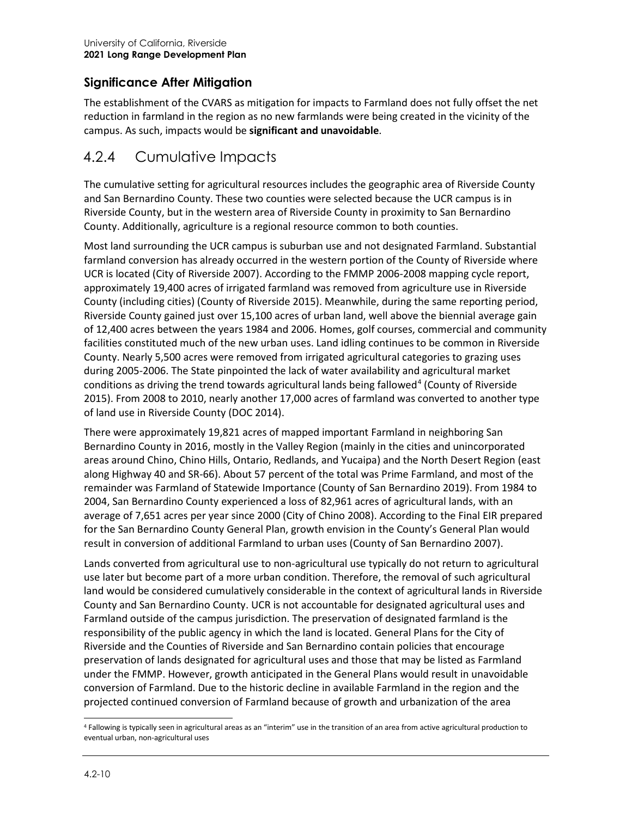## **Significance After Mitigation**

The establishment of the CVARS as mitigation for impacts to Farmland does not fully offset the net reduction in farmland in the region as no new farmlands were being created in the vicinity of the campus. As such, impacts would be **significant and unavoidable**.

# 4.2.4 Cumulative Impacts

The cumulative setting for agricultural resources includes the geographic area of Riverside County and San Bernardino County. These two counties were selected because the UCR campus is in Riverside County, but in the western area of Riverside County in proximity to San Bernardino County. Additionally, agriculture is a regional resource common to both counties.

Most land surrounding the UCR campus is suburban use and not designated Farmland. Substantial farmland conversion has already occurred in the western portion of the County of Riverside where UCR is located (City of Riverside 2007). According to the FMMP 2006-2008 mapping cycle report, approximately 19,400 acres of irrigated farmland was removed from agriculture use in Riverside County (including cities) (County of Riverside 2015). Meanwhile, during the same reporting period, Riverside County gained just over 15,100 acres of urban land, well above the biennial average gain of 12,400 acres between the years 1984 and 2006. Homes, golf courses, commercial and community facilities constituted much of the new urban uses. Land idling continues to be common in Riverside County. Nearly 5,500 acres were removed from irrigated agricultural categories to grazing uses during 2005-2006. The State pinpointed the lack of water availability and agricultural market conditions as driving the trend towards agricultural lands being fallowed<sup>[4](#page-9-0)</sup> (County of Riverside 2015). From 2008 to 2010, nearly another 17,000 acres of farmland was converted to another type of land use in Riverside County (DOC 2014).

There were approximately 19,821 acres of mapped important Farmland in neighboring San Bernardino County in 2016, mostly in the Valley Region (mainly in the cities and unincorporated areas around Chino, Chino Hills, Ontario, Redlands, and Yucaipa) and the North Desert Region (east along Highway 40 and SR-66). About 57 percent of the total was Prime Farmland, and most of the remainder was Farmland of Statewide Importance (County of San Bernardino 2019). From 1984 to 2004, San Bernardino County experienced a loss of 82,961 acres of agricultural lands, with an average of 7,651 acres per year since 2000 (City of Chino 2008). According to the Final EIR prepared for the San Bernardino County General Plan, growth envision in the County's General Plan would result in conversion of additional Farmland to urban uses (County of San Bernardino 2007).

Lands converted from agricultural use to non-agricultural use typically do not return to agricultural use later but become part of a more urban condition. Therefore, the removal of such agricultural land would be considered cumulatively considerable in the context of agricultural lands in Riverside County and San Bernardino County. UCR is not accountable for designated agricultural uses and Farmland outside of the campus jurisdiction. The preservation of designated farmland is the responsibility of the public agency in which the land is located. General Plans for the City of Riverside and the Counties of Riverside and San Bernardino contain policies that encourage preservation of lands designated for agricultural uses and those that may be listed as Farmland under the FMMP. However, growth anticipated in the General Plans would result in unavoidable conversion of Farmland. Due to the historic decline in available Farmland in the region and the projected continued conversion of Farmland because of growth and urbanization of the area

<span id="page-9-0"></span><sup>4</sup> Fallowing is typically seen in agricultural areas as an "interim" use in the transition of an area from active agricultural production to eventual urban, non-agricultural uses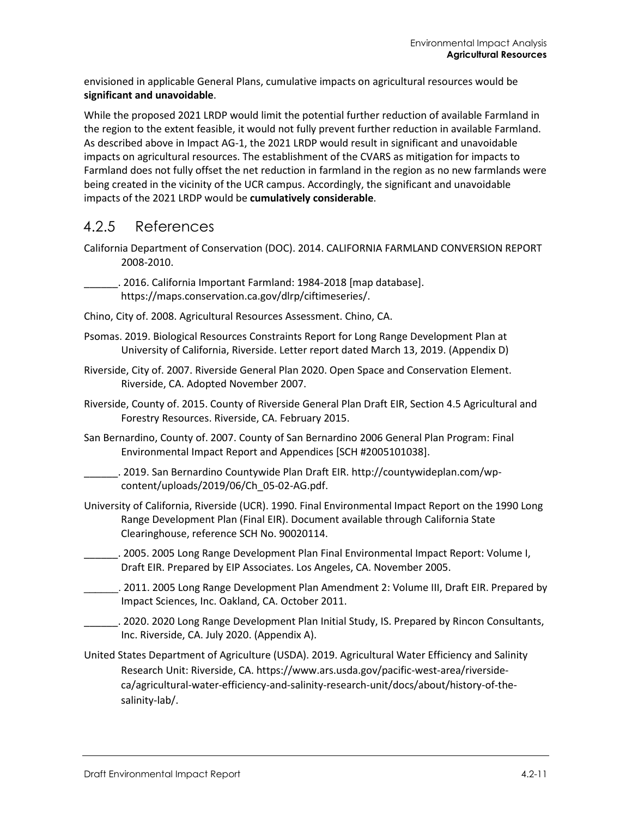envisioned in applicable General Plans, cumulative impacts on agricultural resources would be **significant and unavoidable**.

While the proposed 2021 LRDP would limit the potential further reduction of available Farmland in the region to the extent feasible, it would not fully prevent further reduction in available Farmland. As described above in Impact AG-1, the 2021 LRDP would result in significant and unavoidable impacts on agricultural resources. The establishment of the CVARS as mitigation for impacts to Farmland does not fully offset the net reduction in farmland in the region as no new farmlands were being created in the vicinity of the UCR campus. Accordingly, the significant and unavoidable impacts of the 2021 LRDP would be **cumulatively considerable**.

## 4.2.5 References

California Department of Conservation (DOC). 2014. CALIFORNIA FARMLAND CONVERSION REPORT 2008-2010.

\_\_\_\_\_\_. 2016. California Important Farmland: 1984-2018 [map database]. [https://maps.conservation.ca.gov/dlrp/ciftimeseries/.](https://maps.conservation.ca.gov/dlrp/ciftimeseries/)

- Chino, City of. 2008. Agricultural Resources Assessment. Chino, CA.
- Psomas. 2019. Biological Resources Constraints Report for Long Range Development Plan at University of California, Riverside. Letter report dated March 13, 2019. (Appendix D)
- Riverside, City of. 2007. Riverside General Plan 2020. Open Space and Conservation Element. Riverside, CA. Adopted November 2007.
- Riverside, County of. 2015. County of Riverside General Plan Draft EIR, Section 4.5 Agricultural and Forestry Resources. Riverside, CA. February 2015.
- San Bernardino, County of. 2007. County of San Bernardino 2006 General Plan Program: Final Environmental Impact Report and Appendices [SCH #2005101038].

\_\_\_\_\_\_. 2019. San Bernardino Countywide Plan Draft EIR. [http://countywideplan.com/wp](http://countywideplan.com/wp-content/uploads/2019/06/Ch_05-02-AG.pdf)[content/uploads/2019/06/Ch\\_05-02-AG.pdf.](http://countywideplan.com/wp-content/uploads/2019/06/Ch_05-02-AG.pdf)

- University of California, Riverside (UCR). 1990. Final Environmental Impact Report on the 1990 Long Range Development Plan (Final EIR). Document available through California State Clearinghouse, reference SCH No. 90020114.
- \_\_\_\_\_\_. 2005. 2005 Long Range Development Plan Final Environmental Impact Report: Volume I, Draft EIR. Prepared by EIP Associates. Los Angeles, CA. November 2005.
- \_\_\_\_\_\_. 2011. 2005 Long Range Development Plan Amendment 2: Volume III, Draft EIR. Prepared by Impact Sciences, Inc. Oakland, CA. October 2011.
- \_\_\_\_\_\_. 2020. 2020 Long Range Development Plan Initial Study, IS. Prepared by Rincon Consultants, Inc. Riverside, CA. July 2020. (Appendix A).
- United States Department of Agriculture (USDA). 2019. Agricultural Water Efficiency and Salinity Research Unit: Riverside, CA[. https://www.ars.usda.gov/pacific-west-area/riverside](https://www.ars.usda.gov/pacific-west-area/riverside-ca/agricultural-water-efficiency-and-salinity-research-unit/docs/about/history-of-the-salinity-lab/)[ca/agricultural-water-efficiency-and-salinity-research-unit/docs/about/history-of-the](https://www.ars.usda.gov/pacific-west-area/riverside-ca/agricultural-water-efficiency-and-salinity-research-unit/docs/about/history-of-the-salinity-lab/)[salinity-lab/.](https://www.ars.usda.gov/pacific-west-area/riverside-ca/agricultural-water-efficiency-and-salinity-research-unit/docs/about/history-of-the-salinity-lab/)